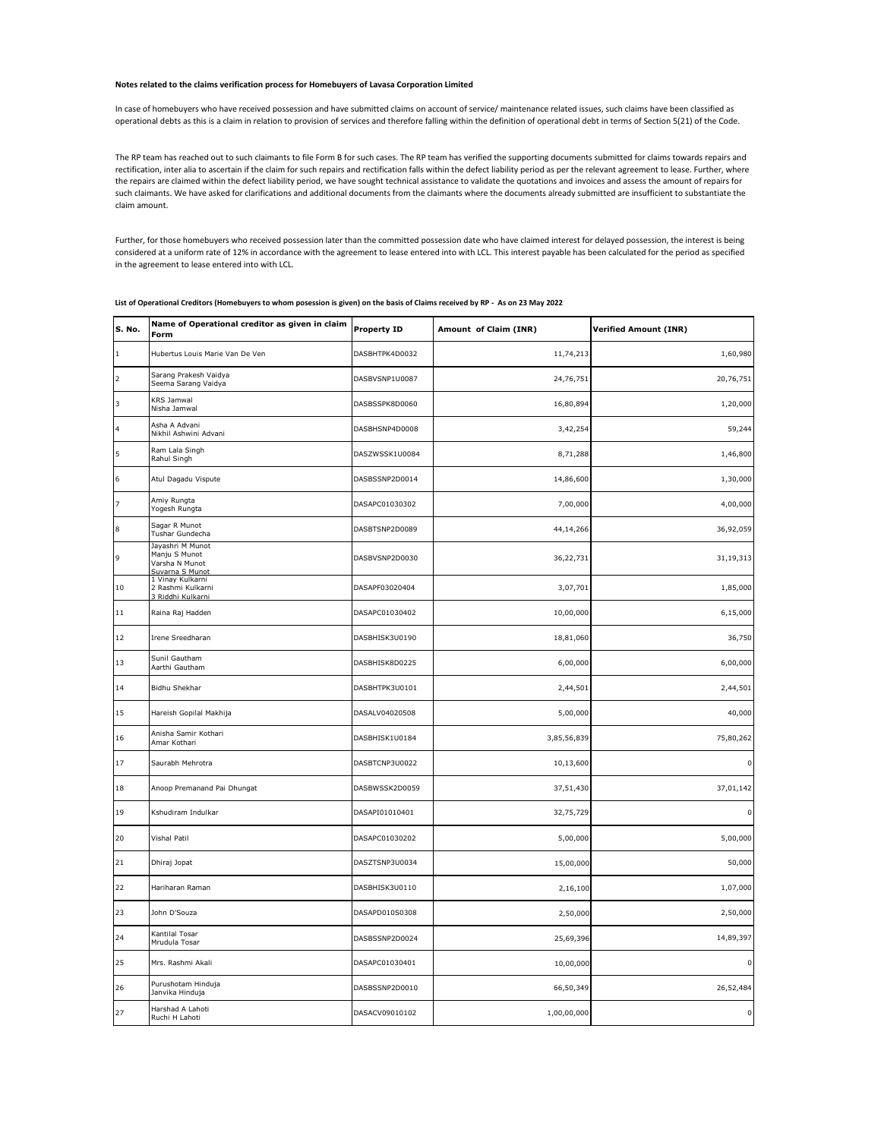## **Notes related to the claims verification process for Homebuyers of Lavasa Corporation Limited**

In case of homebuyers who have received possession and have submitted claims on account of service/ maintenance related issues, such claims have been classified as operational debts as this is a claim in relation to provision of services and therefore falling within the definition of operational debt in terms of Section 5(21) of the Code.

The RP team has reached out to such claimants to file Form B for such cases. The RP team has verified the supporting documents submitted for claims towards repairs and rectification, inter alia to ascertain if the claim for such repairs and rectification falls within the defect liability period as per the relevant agreement to lease. Further, where the repairs are claimed within the defect liability period, we have sought technical assistance to validate the quotations and invoices and assess the amount of repairs for such claimants. We have asked for clarifications and additional documents from the claimants where the documents already submitted are insufficient to substantiate the claim amount.

Further, for those homebuyers who received possession later than the committed possession date who have claimed interest for delayed possession, the interest is being considered at a uniform rate of 12% in accordance with the agreement to lease entered into with LCL. This interest payable has been calculated for the period as specified in the agreement to lease entered into with LCL.

| <b>S. No.</b>            | Name of Operational creditor as given in claim<br>Form                 | <b>Property ID</b> | Amount of Claim (INR) | <b>Verified Amount (INR)</b> |
|--------------------------|------------------------------------------------------------------------|--------------------|-----------------------|------------------------------|
| $\vert$ <sub>1</sub>     | Hubertus Louis Marie Van De Ven                                        | DASBHTPK4D0032     | 11,74,213             | 1,60,980                     |
| $\overline{2}$           | Sarang Prakesh Vaidya<br>Seema Sarang Vaidya                           | DASBVSNP1U0087     | 24,76,751             | 20,76,751                    |
| $\overline{\phantom{a}}$ | KRS Jamwal<br>Nisha Jamwal                                             | DASBSSPK8D0060     | 16,80,894             | 1,20,000                     |
| $\overline{\mathbf{4}}$  | Asha A Advani<br>Nikhil Ashwini Advani                                 | DASBHSNP4D0008     | 3,42,254              | 59,244                       |
| 5                        | Ram Lala Singh<br>Rahul Singh                                          | DASZWSSK1U0084     | 8,71,288              | 1,46,800                     |
| $\boldsymbol{6}$         | Atul Dagadu Vispute                                                    | DASBSSNP2D0014     | 14,86,600             | 1,30,000                     |
| $\overline{z}$           | Amiy Rungta<br>Yogesh Rungta                                           | DASAPC01030302     | 7,00,000              | 4,00,000                     |
| $\boldsymbol{8}$         | Sagar R Munot<br>Tushar Gundecha                                       | DASBTSNP2D0089     | 44,14,266             | 36,92,059                    |
| $\mathsf 9$              | Jayashri M Munot<br>Manju S Munot<br>Varsha N Munot<br>Suvarna S Munot | DASBVSNP2D0030     | 36,22,731             | 31,19,313                    |
| 10                       | 1 Vinay Kulkarni<br>2 Rashmi Kulkarni<br>3 Riddhi Kulkarni             | DASAPF03020404     | 3,07,701              | 1,85,000                     |
| 11                       | Raina Raj Hadden                                                       | DASAPC01030402     | 10,00,000             | 6,15,000                     |
| 12                       | Irene Sreedharan                                                       | DASBHISK3U0190     | 18,81,060             | 36,750                       |
| 13                       | Sunil Gautham<br>Aarthi Gautham                                        | DASBHISK8D0225     | 6,00,000              | 6,00,000                     |
| 14                       | Bidhu Shekhar                                                          | DASBHTPK3U0101     | 2,44,501              | 2,44,501                     |
| 15                       | Hareish Gopilal Makhija                                                | DASALV04020508     | 5,00,000              | 40,000                       |
| 16                       | Anisha Samir Kothari<br>Amar Kothari                                   | DASBHISK1U0184     | 3,85,56,839           | 75,80,262                    |
| 17                       | Saurabh Mehrotra                                                       | DASBTCNP3U0022     | 10,13,600             | $\mathbf 0$                  |
| 18                       | Anoop Premanand Pai Dhungat                                            | DASBWSSK2D0059     | 37,51,430             | 37,01,142                    |
| 19                       | Kshudiram Indulkar                                                     | DASAPI01010401     | 32,75,729             | $\pmb{0}$                    |
| 20                       | Vishal Patil                                                           | DASAPC01030202     | 5,00,000              | 5,00,000                     |
| 21                       | Dhiraj Jopat                                                           | DASZTSNP3U0034     | 15,00,000             | 50,000                       |
| 22                       | Hariharan Raman                                                        | DASBHISK3U0110     | 2,16,100              | 1,07,000                     |
| 23                       | John D'Souza                                                           | DASAPD010S0308     | 2,50,000              | 2,50,000                     |
| 24                       | Kantilal Tosar<br>Mrudula Tosar                                        | DASBSSNP2D0024     | 25,69,396             | 14,89,397                    |
| 25                       | Mrs. Rashmi Akali                                                      | DASAPC01030401     | 10,00,000             | $\mathbf 0$                  |
| 26                       | Purushotam Hinduja<br>Janvika Hinduja                                  | DASBSSNP2D0010     | 66,50,349             | 26,52,484                    |
| 27                       | Harshad A Lahoti<br>Ruchi H Lahoti                                     | DASACV09010102     | 1,00,00,000           | $\mathsf 0$                  |
|                          |                                                                        |                    |                       |                              |

**List of Operational Creditors (Homebuyers to whom posession is given) on the basis of Claims received by RP - As on 23 May 2022**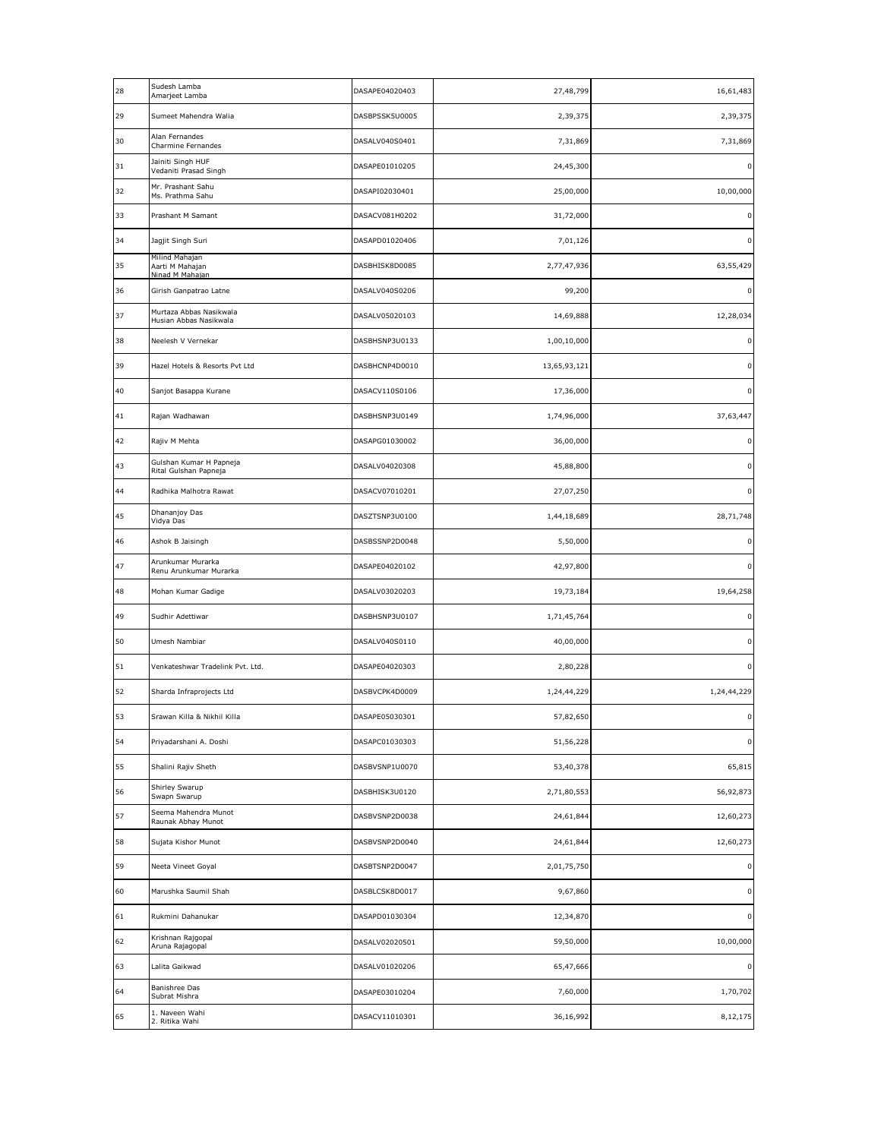| 28 | Sudesh Lamba<br>Amarjeet Lamba                       | DASAPE04020403 | 27,48,799    | 16,61,483        |
|----|------------------------------------------------------|----------------|--------------|------------------|
| 29 | Sumeet Mahendra Walia                                | DASBPSSK5U0005 | 2,39,375     | 2,39,375         |
| 30 | Alan Fernandes<br>Charmine Fernandes                 | DASALV040S0401 | 7,31,869     | 7,31,869         |
| 31 | Jainiti Singh HUF<br>Vedaniti Prasad Singh           | DASAPE01010205 | 24,45,300    | $\mathsf{o}\,\,$ |
| 32 | Mr. Prashant Sahu<br>Ms. Prathma Sahu                | DASAPI02030401 | 25,00,000    | 10,00,000        |
| 33 | Prashant M Samant                                    | DASACV081H0202 | 31,72,000    | 0                |
| 34 | Jagjit Singh Suri                                    | DASAPD01020406 | 7,01,126     | 0                |
| 35 | Milind Mahajan<br>Aarti M Mahajan<br>Ninad M Mahajan | DASBHISK8D0085 | 2,77,47,936  | 63,55,429        |
| 36 | Girish Ganpatrao Latne                               | DASALV040S0206 | 99,200       | 0                |
| 37 | Murtaza Abbas Nasikwala<br>Husian Abbas Nasikwala    | DASALV05020103 | 14,69,888    | 12,28,034        |
| 38 | Neelesh V Vernekar                                   | DASBHSNP3U0133 | 1,00,10,000  | 0                |
| 39 | Hazel Hotels & Resorts Pvt Ltd                       | DASBHCNP4D0010 | 13,65,93,121 | 0                |
| 40 | Sanjot Basappa Kurane                                | DASACV110S0106 | 17,36,000    | 0                |
| 41 | Rajan Wadhawan                                       | DASBHSNP3U0149 | 1,74,96,000  | 37,63,447        |
| 42 | Rajiv M Mehta                                        | DASAPG01030002 | 36,00,000    | $\mathbf 0$      |
| 43 | Gulshan Kumar H Papneja<br>Rital Gulshan Papneja     | DASALV04020308 | 45,88,800    | 0                |
| 44 | Radhika Malhotra Rawat                               | DASACV07010201 | 27,07,250    | 0                |
| 45 | Dhananjoy Das<br>Vidya Das                           | DASZTSNP3U0100 | 1,44,18,689  | 28,71,748        |
| 46 | Ashok B Jaisingh                                     | DASBSSNP2D0048 | 5,50,000     | 0                |
| 47 | Arunkumar Murarka<br>Renu Arunkumar Murarka          | DASAPE04020102 | 42,97,800    | $\mathbf{0}$     |
| 48 | Mohan Kumar Gadige                                   | DASALV03020203 | 19,73,184    | 19,64,258        |
| 49 | Sudhir Adettiwar                                     | DASBHSNP3U0107 | 1,71,45,764  | $\pmb{0}$        |
| 50 | Umesh Nambiar                                        | DASALV040S0110 | 40,00,000    | 0                |
| 51 | Venkateshwar Tradelink Pvt. Ltd.                     | DASAPE04020303 | 2,80,228     | $\mathsf{o}\,\,$ |
| 52 | Sharda Infraprojects Ltd                             | DASBVCPK4D0009 | 1,24,44,229  | 1,24,44,229      |
| 53 | Srawan Killa & Nikhil Killa                          | DASAPE05030301 | 57,82,650    | $\overline{0}$   |
| 54 | Priyadarshani A. Doshi                               | DASAPC01030303 | 51,56,228    | 0                |
| 55 | Shalini Rajiv Sheth                                  | DASBVSNP1U0070 | 53,40,378    | 65,815           |
| 56 | Shirley Swarup<br>Swapn Swarup                       | DASBHISK3U0120 | 2,71,80,553  | 56,92,873        |
| 57 | Seema Mahendra Munot<br>Raunak Abhay Munot           | DASBVSNP2D0038 | 24,61,844    | 12,60,273        |
| 58 | Sujata Kishor Munot                                  | DASBVSNP2D0040 | 24,61,844    | 12,60,273        |
| 59 | Neeta Vineet Goyal                                   | DASBTSNP2D0047 | 2,01,75,750  | $\mathbf 0$      |
| 60 | Marushka Saumil Shah                                 | DASBLCSK8D0017 | 9,67,860     | 0                |
| 61 | Rukmini Dahanukar                                    | DASAPD01030304 | 12,34,870    | $\mathsf{o}\,\,$ |
| 62 | Krishnan Rajgopal<br>Aruna Rajagopal                 | DASALV02020501 | 59,50,000    | 10,00,000        |
| 63 | Lalita Gaikwad                                       | DASALV01020206 | 65,47,666    | $\mathbf 0$      |
| 64 | Banishree Das<br>Subrat Mishra                       | DASAPE03010204 | 7,60,000     | 1,70,702         |
| 65 | 1. Naveen Wahi<br>2. Ritika Wahi                     | DASACV11010301 | 36,16,992    | 8,12,175         |